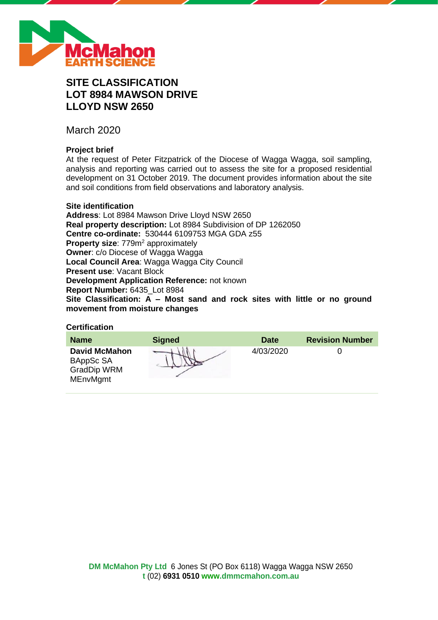

# **SITE CLASSIFICATION LOT 8984 MAWSON DRIVE LLOYD NSW 2650**

March 2020

# **Project brief**

At the request of Peter Fitzpatrick of the Diocese of Wagga Wagga, soil sampling, analysis and reporting was carried out to assess the site for a proposed residential development on 31 October 2019. The document provides information about the site and soil conditions from field observations and laboratory analysis.

## **Site identification**

**Address**: Lot 8984 Mawson Drive Lloyd NSW 2650 **Real property description:** Lot 8984 Subdivision of DP 1262050 **Centre co-ordinate:** 530444 6109753 MGA GDA z55 **Property size:** 779m<sup>2</sup> approximately **Owner**: c/o Diocese of Wagga Wagga **Local Council Area**: Wagga Wagga City Council **Present use**: Vacant Block **Development Application Reference:** not known **Report Number:** 6435\_Lot 8984 **Site Classification: A – Most sand and rock sites with little or no ground movement from moisture changes**

### **Certification**

| <b>Name</b>                                                                | <b>Signed</b> | <b>Date</b> | <b>Revision Number</b> |
|----------------------------------------------------------------------------|---------------|-------------|------------------------|
| <b>David McMahon</b><br>BAppSc SA<br><b>GradDip WRM</b><br><b>MEnvMgmt</b> |               | 4/03/2020   |                        |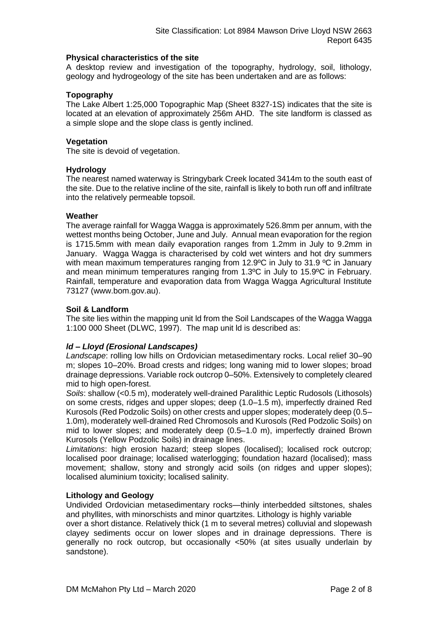### **Physical characteristics of the site**

A desktop review and investigation of the topography, hydrology, soil, lithology, geology and hydrogeology of the site has been undertaken and are as follows:

### **Topography**

The Lake Albert 1:25,000 Topographic Map (Sheet 8327-1S) indicates that the site is located at an elevation of approximately 256m AHD. The site landform is classed as a simple slope and the slope class is gently inclined.

### **Vegetation**

The site is devoid of vegetation.

### **Hydrology**

The nearest named waterway is Stringybark Creek located 3414m to the south east of the site. Due to the relative incline of the site, rainfall is likely to both run off and infiltrate into the relatively permeable topsoil.

### **Weather**

The average rainfall for Wagga Wagga is approximately 526.8mm per annum, with the wettest months being October, June and July. Annual mean evaporation for the region is 1715.5mm with mean daily evaporation ranges from 1.2mm in July to 9.2mm in January. Wagga Wagga is characterised by cold wet winters and hot dry summers with mean maximum temperatures ranging from 12.9°C in July to 31.9 °C in January and mean minimum temperatures ranging from 1.3ºC in July to 15.9ºC in February. Rainfall, temperature and evaporation data from Wagga Wagga Agricultural Institute 73127 (www.bom.gov.au).

### **Soil & Landform**

The site lies within the mapping unit ld from the Soil Landscapes of the Wagga Wagga 1:100 000 Sheet (DLWC, 1997). The map unit ld is described as:

### *ld – Lloyd (Erosional Landscapes)*

*Landscape*: rolling low hills on Ordovician metasedimentary rocks. Local relief 30–90 m; slopes 10–20%. Broad crests and ridges; long waning mid to lower slopes; broad drainage depressions. Variable rock outcrop 0–50%. Extensively to completely cleared mid to high open-forest.

*Soils*: shallow (<0.5 m), moderately well-drained Paralithic Leptic Rudosols (Lithosols) on some crests, ridges and upper slopes; deep (1.0–1.5 m), imperfectly drained Red Kurosols (Red Podzolic Soils) on other crests and upper slopes; moderately deep (0.5– 1.0m), moderately well-drained Red Chromosols and Kurosols (Red Podzolic Soils) on mid to lower slopes; and moderately deep (0.5–1.0 m), imperfectly drained Brown Kurosols (Yellow Podzolic Soils) in drainage lines.

*Limitations*: high erosion hazard; steep slopes (localised); localised rock outcrop; localised poor drainage; localised waterlogging; foundation hazard (localised); mass movement; shallow, stony and strongly acid soils (on ridges and upper slopes); localised aluminium toxicity; localised salinity.

### **Lithology and Geology**

Undivided Ordovician metasedimentary rocks—thinly interbedded siltstones, shales and phyllites, with minorschists and minor quartzites. Lithology is highly variable

over a short distance. Relatively thick (1 m to several metres) colluvial and slopewash clayey sediments occur on lower slopes and in drainage depressions. There is generally no rock outcrop, but occasionally <50% (at sites usually underlain by sandstone).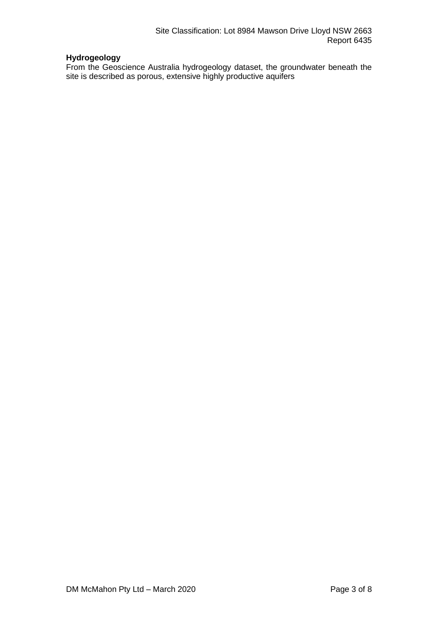# **Hydrogeology**

From the Geoscience Australia hydrogeology dataset, the groundwater beneath the site is described as porous, extensive highly productive aquifers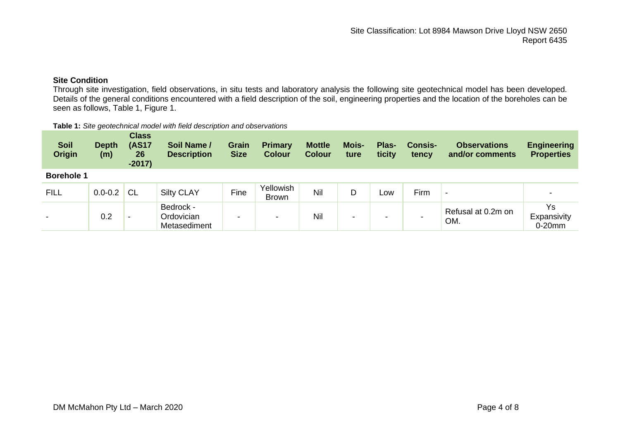# **Site Condition**

Through site investigation, field observations, in situ tests and laboratory analysis the following site geotechnical model has been developed. Details of the general conditions encountered with a field description of the soil, engineering properties and the location of the boreholes can be seen as follows, Table 1, Figure 1.

#### **Table 1:** *Site geotechnical model with field description and observations*

| <b>Soil</b><br><b>Origin</b> | <b>Depth</b><br>(m) | <b>Class</b><br><b>(AS17</b><br>26<br>$-2017)$ | Soil Name /<br><b>Description</b>       | <b>Grain</b><br><b>Size</b> | <b>Primary</b><br><b>Colour</b> | <b>Mottle</b><br><b>Colour</b> | <b>Mois-</b><br>ture | Plas-<br>ticity | <b>Consis-</b><br>tency | <b>Observations</b><br>and/or comments | <b>Engineering</b><br><b>Properties</b> |
|------------------------------|---------------------|------------------------------------------------|-----------------------------------------|-----------------------------|---------------------------------|--------------------------------|----------------------|-----------------|-------------------------|----------------------------------------|-----------------------------------------|
| <b>Borehole 1</b>            |                     |                                                |                                         |                             |                                 |                                |                      |                 |                         |                                        |                                         |
| <b>FILL</b>                  | $0.0 - 0.2$         | <b>CL</b>                                      | <b>Silty CLAY</b>                       | Fine                        | Yellowish<br><b>Brown</b>       | Nil                            | D                    | Low             | Firm                    | $\overline{\phantom{0}}$               |                                         |
| $\overline{\phantom{0}}$     | 0.2                 | $\overline{\phantom{0}}$                       | Bedrock -<br>Ordovician<br>Metasediment | $\,$                        | $\overline{\phantom{a}}$        | Nil                            | -                    | -               |                         | Refusal at 0.2m on<br>OM.              | Ys<br>Expansivity<br>$0-20$ mm          |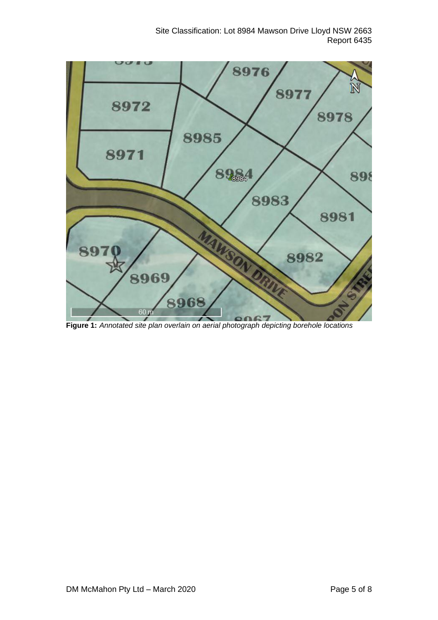Site Classification: Lot 8984 Mawson Drive Lloyd NSW 2663 Report 6435



**Figure 1:** *Annotated site plan overlain on aerial photograph depicting borehole locations*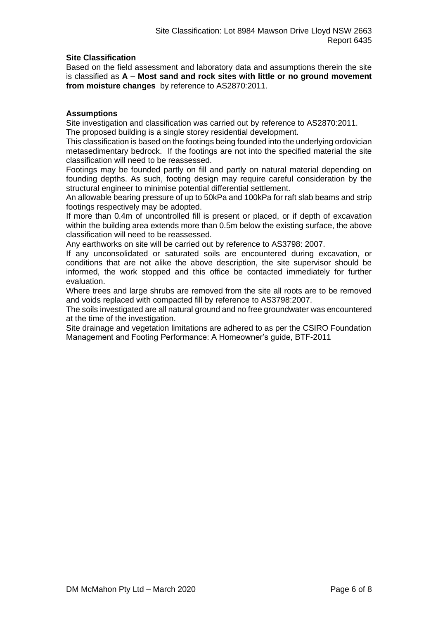### **Site Classification**

Based on the field assessment and laboratory data and assumptions therein the site is classified as **A – Most sand and rock sites with little or no ground movement from moisture changes** by reference to AS2870:2011.

### **Assumptions**

Site investigation and classification was carried out by reference to AS2870:2011. The proposed building is a single storey residential development.

This classification is based on the footings being founded into the underlying ordovician metasedimentary bedrock. If the footings are not into the specified material the site classification will need to be reassessed.

Footings may be founded partly on fill and partly on natural material depending on founding depths. As such, footing design may require careful consideration by the structural engineer to minimise potential differential settlement.

An allowable bearing pressure of up to 50kPa and 100kPa for raft slab beams and strip footings respectively may be adopted.

If more than 0.4m of uncontrolled fill is present or placed, or if depth of excavation within the building area extends more than 0.5m below the existing surface, the above classification will need to be reassessed.

Any earthworks on site will be carried out by reference to AS3798: 2007.

If any unconsolidated or saturated soils are encountered during excavation, or conditions that are not alike the above description, the site supervisor should be informed, the work stopped and this office be contacted immediately for further evaluation.

Where trees and large shrubs are removed from the site all roots are to be removed and voids replaced with compacted fill by reference to AS3798:2007.

The soils investigated are all natural ground and no free groundwater was encountered at the time of the investigation.

Site drainage and vegetation limitations are adhered to as per the CSIRO Foundation Management and Footing Performance: A Homeowner's guide, BTF-2011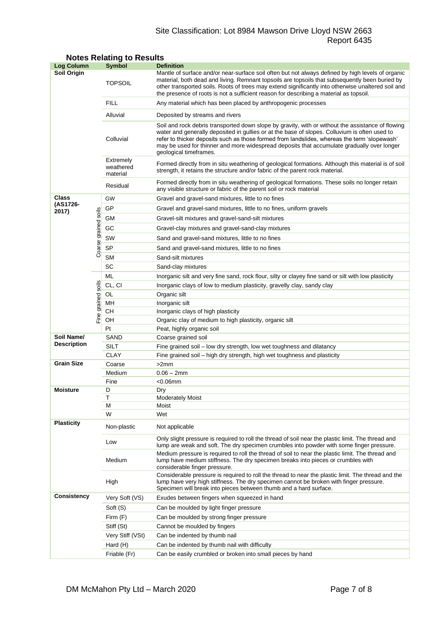# Site Classification: Lot 8984 Mawson Drive Lloyd NSW 2663 Report 6435

| <b>Log Column</b>                |                      | <b>Symbol</b>                                                                                                                                                                                                              | <b>Definition</b>                                                                                                                                                                                                                                                                                                                                                                                                          |  |  |  |  |
|----------------------------------|----------------------|----------------------------------------------------------------------------------------------------------------------------------------------------------------------------------------------------------------------------|----------------------------------------------------------------------------------------------------------------------------------------------------------------------------------------------------------------------------------------------------------------------------------------------------------------------------------------------------------------------------------------------------------------------------|--|--|--|--|
| Soil Origin                      |                      | <b>TOPSOIL</b>                                                                                                                                                                                                             | Mantle of surface and/or near-surface soil often but not always defined by high levels of organic<br>material, both dead and living. Remnant topsoils are topsoils that subsequently been buried by<br>other transported soils. Roots of trees may extend significantly into otherwise unaltered soil and<br>the presence of roots is not a sufficient reason for describing a material as topsoil.                        |  |  |  |  |
|                                  |                      | <b>FILL</b>                                                                                                                                                                                                                | Any material which has been placed by anthropogenic processes                                                                                                                                                                                                                                                                                                                                                              |  |  |  |  |
|                                  |                      | Alluvial                                                                                                                                                                                                                   | Deposited by streams and rivers                                                                                                                                                                                                                                                                                                                                                                                            |  |  |  |  |
|                                  |                      | Colluvial                                                                                                                                                                                                                  | Soil and rock debris transported down slope by gravity, with or without the assistance of flowing<br>water and generally deposited in gullies or at the base of slopes. Colluvium is often used to<br>refer to thicker deposits such as those formed from landslides, whereas the term 'slopewash'<br>may be used for thinner and more widespread deposits that accumulate gradually over longer<br>geological timeframes. |  |  |  |  |
|                                  |                      | Extremely<br>Formed directly from in situ weathering of geological formations. Although this material is of soil<br>weathered<br>strength, it retains the structure and/or fabric of the parent rock material.<br>material |                                                                                                                                                                                                                                                                                                                                                                                                                            |  |  |  |  |
|                                  |                      | Residual                                                                                                                                                                                                                   | Formed directly from in situ weathering of geological formations. These soils no longer retain<br>any visible structure or fabric of the parent soil or rock material                                                                                                                                                                                                                                                      |  |  |  |  |
| Class                            |                      | GW                                                                                                                                                                                                                         | Gravel and gravel-sand mixtures, little to no fines                                                                                                                                                                                                                                                                                                                                                                        |  |  |  |  |
| (AS1726-<br>2017)                |                      | GP                                                                                                                                                                                                                         | Gravel and gravel-sand mixtures, little to no fines, uniform gravels                                                                                                                                                                                                                                                                                                                                                       |  |  |  |  |
|                                  |                      | GМ                                                                                                                                                                                                                         | Gravel-silt mixtures and gravel-sand-silt mixtures                                                                                                                                                                                                                                                                                                                                                                         |  |  |  |  |
|                                  |                      | GC<br>Gravel-clay mixtures and gravel-sand-clay mixtures                                                                                                                                                                   |                                                                                                                                                                                                                                                                                                                                                                                                                            |  |  |  |  |
|                                  |                      | SW                                                                                                                                                                                                                         | Sand and gravel-sand mixtures, little to no fines                                                                                                                                                                                                                                                                                                                                                                          |  |  |  |  |
|                                  | Coarse grained soils | <b>SP</b>                                                                                                                                                                                                                  | Sand and gravel-sand mixtures, little to no fines                                                                                                                                                                                                                                                                                                                                                                          |  |  |  |  |
|                                  |                      | SМ                                                                                                                                                                                                                         | Sand-silt mixtures                                                                                                                                                                                                                                                                                                                                                                                                         |  |  |  |  |
|                                  |                      | SC                                                                                                                                                                                                                         | Sand-clay mixtures                                                                                                                                                                                                                                                                                                                                                                                                         |  |  |  |  |
|                                  |                      | ML                                                                                                                                                                                                                         | Inorganic silt and very fine sand, rock flour, silty or clayey fine sand or silt with low plasticity                                                                                                                                                                                                                                                                                                                       |  |  |  |  |
|                                  |                      | CL, CI                                                                                                                                                                                                                     | Inorganic clays of low to medium plasticity, gravelly clay, sandy clay                                                                                                                                                                                                                                                                                                                                                     |  |  |  |  |
|                                  |                      | OL                                                                                                                                                                                                                         | Organic silt                                                                                                                                                                                                                                                                                                                                                                                                               |  |  |  |  |
|                                  |                      | MН                                                                                                                                                                                                                         | Inorganic silt                                                                                                                                                                                                                                                                                                                                                                                                             |  |  |  |  |
|                                  | Fine grained soils   | CН                                                                                                                                                                                                                         | Inorganic clays of high plasticity                                                                                                                                                                                                                                                                                                                                                                                         |  |  |  |  |
|                                  |                      | OH                                                                                                                                                                                                                         | Organic clay of medium to high plasticity, organic silt                                                                                                                                                                                                                                                                                                                                                                    |  |  |  |  |
|                                  |                      | Pt                                                                                                                                                                                                                         | Peat, highly organic soil                                                                                                                                                                                                                                                                                                                                                                                                  |  |  |  |  |
| Soil Name/<br><b>Description</b> |                      | SAND                                                                                                                                                                                                                       | Coarse grained soil                                                                                                                                                                                                                                                                                                                                                                                                        |  |  |  |  |
|                                  |                      | <b>SILT</b>                                                                                                                                                                                                                | Fine grained soil - low dry strength, low wet toughness and dilatancy                                                                                                                                                                                                                                                                                                                                                      |  |  |  |  |
| <b>Grain Size</b>                |                      | <b>CLAY</b><br>Coarse                                                                                                                                                                                                      | Fine grained soil - high dry strength, high wet toughness and plasticity<br>>2mm                                                                                                                                                                                                                                                                                                                                           |  |  |  |  |
|                                  |                      | Medium                                                                                                                                                                                                                     | $0.06 - 2mm$                                                                                                                                                                                                                                                                                                                                                                                                               |  |  |  |  |
|                                  |                      | Fine                                                                                                                                                                                                                       | $< 0.06$ mm                                                                                                                                                                                                                                                                                                                                                                                                                |  |  |  |  |
| <b>Moisture</b>                  |                      | D                                                                                                                                                                                                                          | Dry                                                                                                                                                                                                                                                                                                                                                                                                                        |  |  |  |  |
|                                  |                      | т                                                                                                                                                                                                                          | <b>Moderately Moist</b>                                                                                                                                                                                                                                                                                                                                                                                                    |  |  |  |  |
|                                  |                      | М                                                                                                                                                                                                                          | Moist                                                                                                                                                                                                                                                                                                                                                                                                                      |  |  |  |  |
|                                  |                      | W                                                                                                                                                                                                                          | Wet                                                                                                                                                                                                                                                                                                                                                                                                                        |  |  |  |  |
| <b>Plasticity</b>                |                      | Non-plastic                                                                                                                                                                                                                | Not applicable                                                                                                                                                                                                                                                                                                                                                                                                             |  |  |  |  |
|                                  |                      | Low                                                                                                                                                                                                                        | Only slight pressure is required to roll the thread of soil near the plastic limit. The thread and<br>lump are weak and soft. The dry specimen crumbles into powder with some finger pressure.                                                                                                                                                                                                                             |  |  |  |  |
|                                  |                      | Medium                                                                                                                                                                                                                     | Medium pressure is required to roll the thread of soil to near the plastic limit. The thread and<br>lump have medium stiffness. The dry specimen breaks into pieces or crumbles with<br>considerable finger pressure.                                                                                                                                                                                                      |  |  |  |  |
|                                  |                      | High                                                                                                                                                                                                                       | Considerable pressure is required to roll the thread to near the plastic limit. The thread and the<br>lump have very high stiffness. The dry specimen cannot be broken with finger pressure.<br>Specimen will break into pieces between thumb and a hard surface.                                                                                                                                                          |  |  |  |  |
| Consistency                      |                      | Very Soft (VS)                                                                                                                                                                                                             | Exudes between fingers when squeezed in hand                                                                                                                                                                                                                                                                                                                                                                               |  |  |  |  |
|                                  |                      | Soft (S)                                                                                                                                                                                                                   | Can be moulded by light finger pressure                                                                                                                                                                                                                                                                                                                                                                                    |  |  |  |  |
|                                  |                      | Firm $(F)$                                                                                                                                                                                                                 | Can be moulded by strong finger pressure                                                                                                                                                                                                                                                                                                                                                                                   |  |  |  |  |
|                                  |                      | Stiff (St)                                                                                                                                                                                                                 | Cannot be moulded by fingers                                                                                                                                                                                                                                                                                                                                                                                               |  |  |  |  |
|                                  |                      | Very Stiff (VSt)                                                                                                                                                                                                           | Can be indented by thumb nail                                                                                                                                                                                                                                                                                                                                                                                              |  |  |  |  |
|                                  |                      | Hard (H)                                                                                                                                                                                                                   | Can be indented by thumb nail with difficulty                                                                                                                                                                                                                                                                                                                                                                              |  |  |  |  |
|                                  |                      | Friable (Fr)                                                                                                                                                                                                               | Can be easily crumbled or broken into small pieces by hand                                                                                                                                                                                                                                                                                                                                                                 |  |  |  |  |

### **Notes Relating to Results**